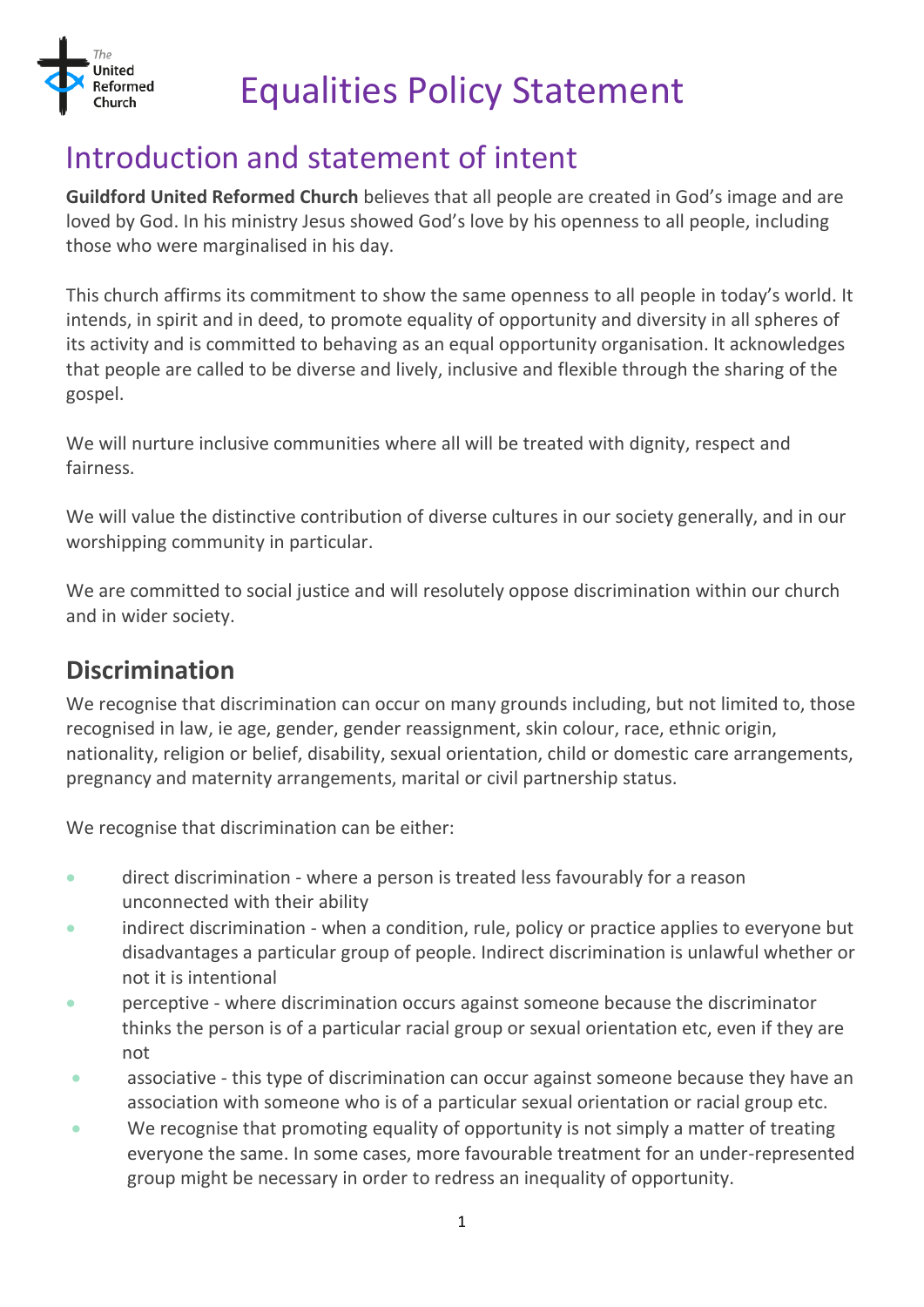

# Equalities Policy Statement

# Introduction and statement of intent

**Guildford United Reformed Church** believes that all people are created in God's image and are loved by God. In his ministry Jesus showed God's love by his openness to all people, including those who were marginalised in his day.

This church affirms its commitment to show the same openness to all people in today's world. It intends, in spirit and in deed, to promote equality of opportunity and diversity in all spheres of its activity and is committed to behaving as an equal opportunity organisation. It acknowledges that people are called to be diverse and lively, inclusive and flexible through the sharing of the gospel.

We will nurture inclusive communities where all will be treated with dignity, respect and fairness.

We will value the distinctive contribution of diverse cultures in our society generally, and in our worshipping community in particular.

We are committed to social justice and will resolutely oppose discrimination within our church and in wider society.

#### **Discrimination**

We recognise that discrimination can occur on many grounds including, but not limited to, those recognised in law, ie age, gender, gender reassignment, skin colour, race, ethnic origin, nationality, religion or belief, disability, sexual orientation, child or domestic care arrangements, pregnancy and maternity arrangements, marital or civil partnership status.

We recognise that discrimination can be either:

- direct discrimination where a person is treated less favourably for a reason unconnected with their ability
- indirect discrimination when a condition, rule, policy or practice applies to everyone but disadvantages a particular group of people. Indirect discrimination is unlawful whether or not it is intentional
- perceptive where discrimination occurs against someone because the discriminator thinks the person is of a particular racial group or sexual orientation etc, even if they are not
- associative this type of discrimination can occur against someone because they have an association with someone who is of a particular sexual orientation or racial group etc.
- We recognise that promoting equality of opportunity is not simply a matter of treating everyone the same. In some cases, more favourable treatment for an under-represented group might be necessary in order to redress an inequality of opportunity.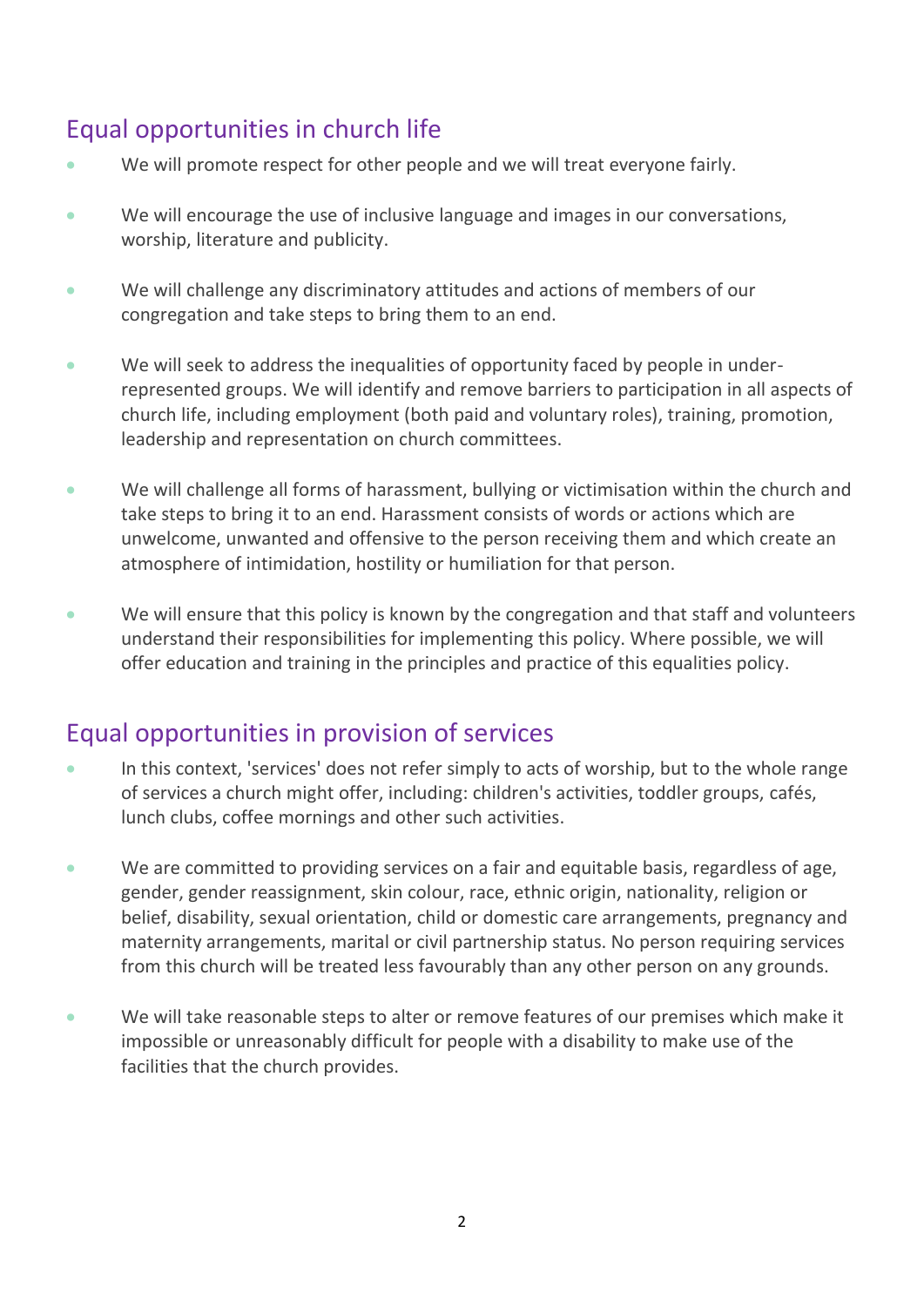## Equal opportunities in church life

- We will promote respect for other people and we will treat everyone fairly.
- We will encourage the use of inclusive language and images in our conversations, worship, literature and publicity.
- We will challenge any discriminatory attitudes and actions of members of our congregation and take steps to bring them to an end.
- We will seek to address the inequalities of opportunity faced by people in underrepresented groups. We will identify and remove barriers to participation in all aspects of church life, including employment (both paid and voluntary roles), training, promotion, leadership and representation on church committees.
- We will challenge all forms of harassment, bullying or victimisation within the church and take steps to bring it to an end. Harassment consists of words or actions which are unwelcome, unwanted and offensive to the person receiving them and which create an atmosphere of intimidation, hostility or humiliation for that person.
- We will ensure that this policy is known by the congregation and that staff and volunteers understand their responsibilities for implementing this policy. Where possible, we will offer education and training in the principles and practice of this equalities policy.

#### Equal opportunities in provision of services

- In this context, 'services' does not refer simply to acts of worship, but to the whole range of services a church might offer, including: children's activities, toddler groups, cafés, lunch clubs, coffee mornings and other such activities.
- We are committed to providing services on a fair and equitable basis, regardless of age, gender, gender reassignment, skin colour, race, ethnic origin, nationality, religion or belief, disability, sexual orientation, child or domestic care arrangements, pregnancy and maternity arrangements, marital or civil partnership status. No person requiring services from this church will be treated less favourably than any other person on any grounds.
- We will take reasonable steps to alter or remove features of our premises which make it impossible or unreasonably difficult for people with a disability to make use of the facilities that the church provides.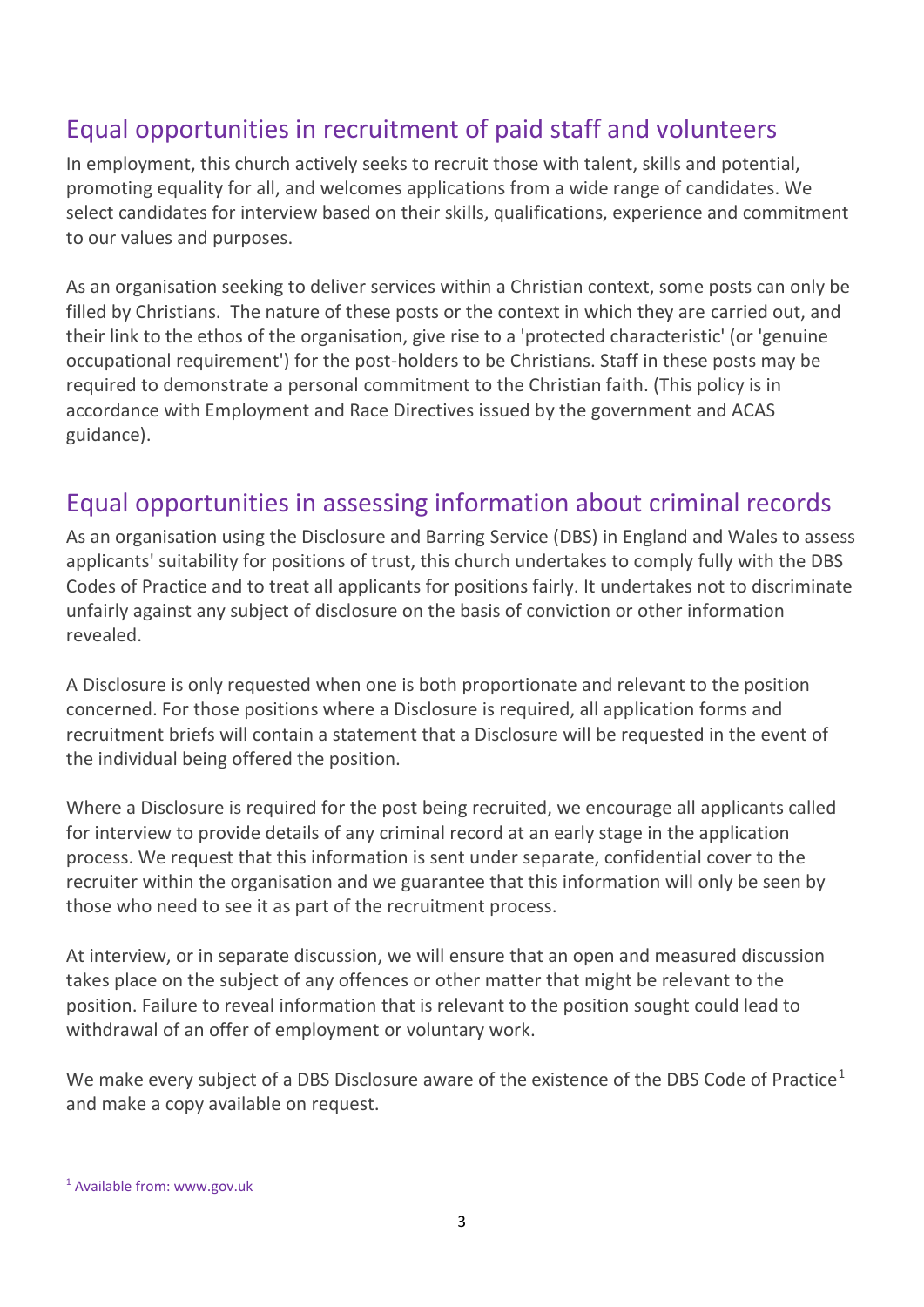### Equal opportunities in recruitment of paid staff and volunteers

In employment, this church actively seeks to recruit those with talent, skills and potential, promoting equality for all, and welcomes applications from a wide range of candidates. We select candidates for interview based on their skills, qualifications, experience and commitment to our values and purposes.

As an organisation seeking to deliver services within a Christian context, some posts can only be filled by Christians. The nature of these posts or the context in which they are carried out, and their link to the ethos of the organisation, give rise to a 'protected characteristic' (or 'genuine occupational requirement') for the post-holders to be Christians. Staff in these posts may be required to demonstrate a personal commitment to the Christian faith. (This policy is in accordance with Employment and Race Directives issued by the government and ACAS guidance).

#### Equal opportunities in assessing information about criminal records

As an organisation using the Disclosure and Barring Service (DBS) in England and Wales to assess applicants' suitability for positions of trust, this church undertakes to comply fully with the DBS Codes of Practice and to treat all applicants for positions fairly. It undertakes not to discriminate unfairly against any subject of disclosure on the basis of conviction or other information revealed.

A Disclosure is only requested when one is both proportionate and relevant to the position concerned. For those positions where a Disclosure is required, all application forms and recruitment briefs will contain a statement that a Disclosure will be requested in the event of the individual being offered the position.

Where a Disclosure is required for the post being recruited, we encourage all applicants called for interview to provide details of any criminal record at an early stage in the application process. We request that this information is sent under separate, confidential cover to the recruiter within the organisation and we guarantee that this information will only be seen by those who need to see it as part of the recruitment process.

At interview, or in separate discussion, we will ensure that an open and measured discussion takes place on the subject of any offences or other matter that might be relevant to the position. Failure to reveal information that is relevant to the position sought could lead to withdrawal of an offer of employment or voluntary work.

We make every subject of a DBS Disclosure aware of the existence of the DBS Code of Practice<sup>1</sup> and make a copy available on request.

 $\overline{a}$ 

<sup>1</sup> Available from: www.gov.uk